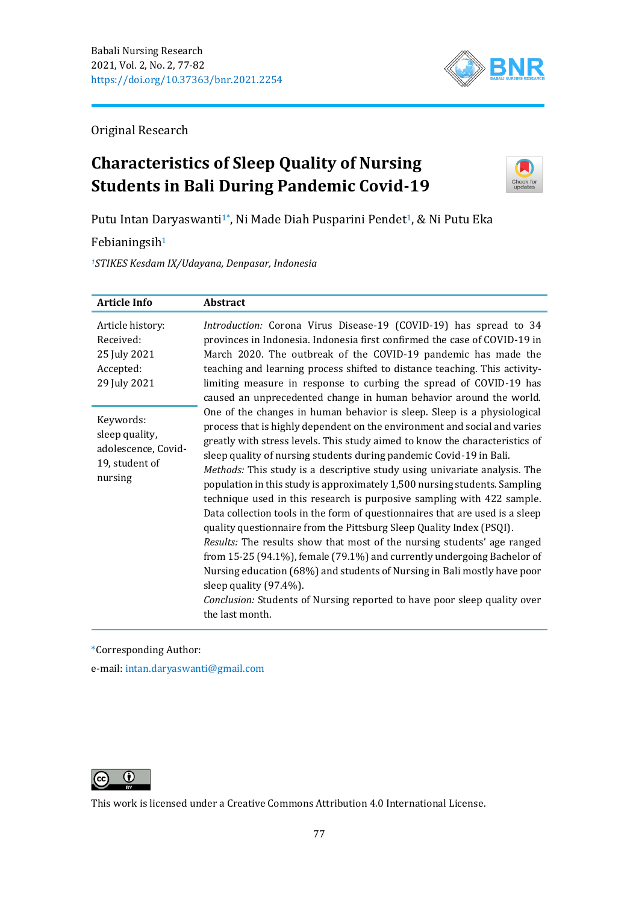

Original Research

# **Characteristics of Sleep Quality of Nursing Students in Bali During Pandemic Covid-19**



Putu Intan Daryaswanti<sup>1\*</sup>, Ni Made Diah Pusparini Pendet<sup>1</sup>, & Ni Putu Eka

## Febianingsih<sup>1</sup>

*<sup>1</sup>STIKES Kesdam IX/Udayana, Denpasar, Indonesia*

| <b>Article Info</b>                                                             | <b>Abstract</b>                                                                                                                                                                                                                                                                                                                                                                                                                                                                                                                                                                                                                                                                                                                                                                                                                                                                                                                                                                                                                                                    |
|---------------------------------------------------------------------------------|--------------------------------------------------------------------------------------------------------------------------------------------------------------------------------------------------------------------------------------------------------------------------------------------------------------------------------------------------------------------------------------------------------------------------------------------------------------------------------------------------------------------------------------------------------------------------------------------------------------------------------------------------------------------------------------------------------------------------------------------------------------------------------------------------------------------------------------------------------------------------------------------------------------------------------------------------------------------------------------------------------------------------------------------------------------------|
| Article history:<br>Received:<br>25 July 2021<br>Accepted:<br>29 July 2021      | Introduction: Corona Virus Disease-19 (COVID-19) has spread to 34<br>provinces in Indonesia. Indonesia first confirmed the case of COVID-19 in<br>March 2020. The outbreak of the COVID-19 pandemic has made the<br>teaching and learning process shifted to distance teaching. This activity-<br>limiting measure in response to curbing the spread of COVID-19 has<br>caused an unprecedented change in human behavior around the world.                                                                                                                                                                                                                                                                                                                                                                                                                                                                                                                                                                                                                         |
| Keywords:<br>sleep quality,<br>adolescence, Covid-<br>19, student of<br>nursing | One of the changes in human behavior is sleep. Sleep is a physiological<br>process that is highly dependent on the environment and social and varies<br>greatly with stress levels. This study aimed to know the characteristics of<br>sleep quality of nursing students during pandemic Covid-19 in Bali.<br>Methods: This study is a descriptive study using univariate analysis. The<br>population in this study is approximately 1,500 nursing students. Sampling<br>technique used in this research is purposive sampling with 422 sample.<br>Data collection tools in the form of questionnaires that are used is a sleep<br>quality questionnaire from the Pittsburg Sleep Quality Index (PSQI).<br>Results: The results show that most of the nursing students' age ranged<br>from 15-25 (94.1%), female (79.1%) and currently undergoing Bachelor of<br>Nursing education (68%) and students of Nursing in Bali mostly have poor<br>sleep quality (97.4%).<br>Conclusion: Students of Nursing reported to have poor sleep quality over<br>the last month. |

\*Corresponding Author:

e-mail: [intan.daryaswanti@gmail.com](mailto:intan.daryaswanti@gmail.com)



This work is licensed under a [Creative Commons Attribution 4.0 International License.](https://creativecommons.org/licenses/by/4.0/)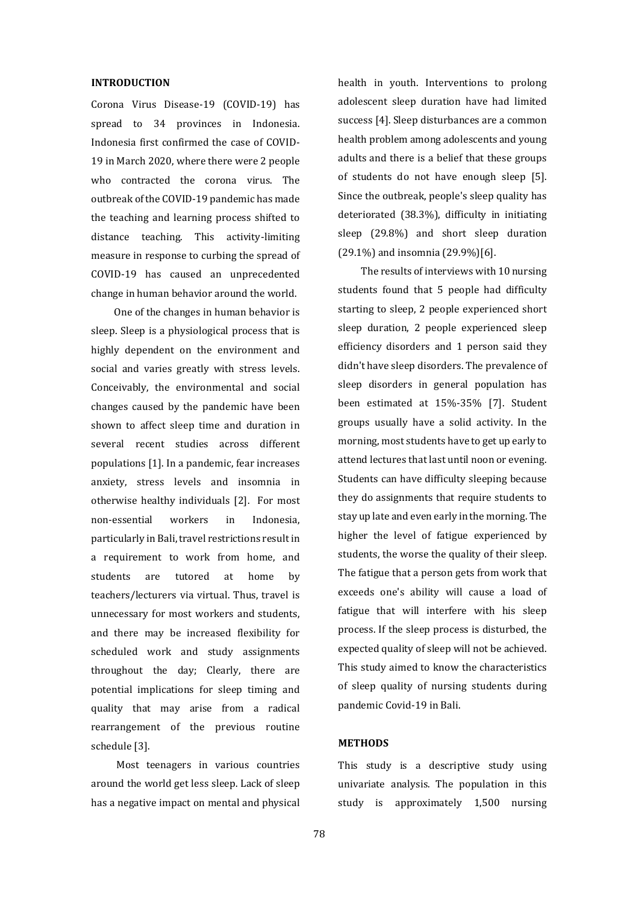#### **INTRODUCTION**

Corona Virus Disease-19 (COVID-19) has spread to 34 provinces in Indonesia. Indonesia first confirmed the case of COVID-19 in March 2020, where there were 2 people who contracted the corona virus. The outbreak of the COVID-19 pandemic has made the teaching and learning process shifted to distance teaching. This activity-limiting measure in response to curbing the spread of COVID-19 has caused an unprecedented change in human behavior around the world.

One of the changes in human behavior is sleep. Sleep is a physiological process that is highly dependent on the environment and social and varies greatly with stress levels. Conceivably, the environmental and social changes caused by the pandemic have been shown to affect sleep time and duration in several recent studies across different populations [1]. In a pandemic, fear increases anxiety, stress levels and insomnia in otherwise healthy individuals [2]. For most non-essential workers in Indonesia, particularly in Bali, travel restrictions result in a requirement to work from home, and students are tutored at home by teachers/lecturers via virtual. Thus, travel is unnecessary for most workers and students, and there may be increased flexibility for scheduled work and study assignments throughout the day; Clearly, there are potential implications for sleep timing and quality that may arise from a radical rearrangement of the previous routine schedule [3].

Most teenagers in various countries around the world get less sleep. Lack of sleep has a negative impact on mental and physical

health in youth. Interventions to prolong adolescent sleep duration have had limited success [4]. Sleep disturbances are a common health problem among adolescents and young adults and there is a belief that these groups of students do not have enough sleep [5]. Since the outbreak, people's sleep quality has deteriorated (38.3%), difficulty in initiating sleep (29.8%) and short sleep duration (29.1%) and insomnia (29.9%)[6].

The results of interviews with 10 nursing students found that 5 people had difficulty starting to sleep, 2 people experienced short sleep duration, 2 people experienced sleep efficiency disorders and 1 person said they didn't have sleep disorders. The prevalence of sleep disorders in general population has been estimated at 15%-35% [7]. Student groups usually have a solid activity. In the morning, most students have to get up early to attend lectures that last until noon or evening. Students can have difficulty sleeping because they do assignments that require students to stay up late and even early in the morning. The higher the level of fatigue experienced by students, the worse the quality of their sleep. The fatigue that a person gets from work that exceeds one's ability will cause a load of fatigue that will interfere with his sleep process. If the sleep process is disturbed, the expected quality of sleep will not be achieved. This study aimed to know the characteristics of sleep quality of nursing students during pandemic Covid-19 in Bali.

#### **METHODS**

This study is a descriptive study using univariate analysis. The population in this study is approximately 1,500 nursing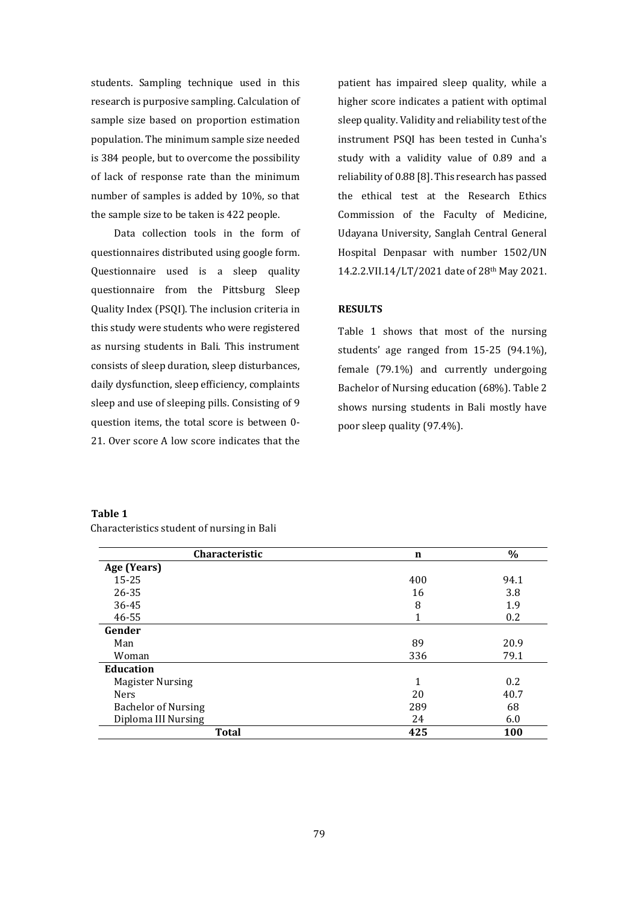students. Sampling technique used in this research is purposive sampling. Calculation of sample size based on proportion estimation population. The minimum sample size needed is 384 people, but to overcome the possibility of lack of response rate than the minimum number of samples is added by 10%, so that the sample size to be taken is 422 people.

Data collection tools in the form of questionnaires distributed using google form. Questionnaire used is a sleep quality questionnaire from the Pittsburg Sleep Quality Index (PSQI). The inclusion criteria in this study were students who were registered as nursing students in Bali. This instrument consists of sleep duration, sleep disturbances, daily dysfunction, sleep efficiency, complaints sleep and use of sleeping pills. Consisting of 9 question items, the total score is between 0- 21. Over score A low score indicates that the patient has impaired sleep quality, while a higher score indicates a patient with optimal sleep quality. Validity and reliability test of the instrument PSQI has been tested in Cunha's study with a validity value of 0.89 and a reliability of 0.88 [8]. This research has passed the ethical test at the Research Ethics Commission of the Faculty of Medicine, Udayana University, Sanglah Central General Hospital Denpasar with number 1502/UN 14.2.2.VII.14/LT/2021 date of 28th May 2021.

#### **RESULTS**

Table 1 shows that most of the nursing students' age ranged from 15-25 (94.1%), female (79.1%) and currently undergoing Bachelor of Nursing education (68%). Table 2 shows nursing students in Bali mostly have poor sleep quality (97.4%).

| <b>Characteristic</b>      | n   | $\%$ |
|----------------------------|-----|------|
| Age (Years)                |     |      |
| $15 - 25$                  | 400 | 94.1 |
| 26-35                      | 16  | 3.8  |
| 36-45                      | 8   | 1.9  |
| 46-55                      |     | 0.2  |
| Gender                     |     |      |
| Man                        | 89  | 20.9 |
| Woman                      | 336 | 79.1 |
| <b>Education</b>           |     |      |
| <b>Magister Nursing</b>    | 1   | 0.2  |
| <b>Ners</b>                | 20  | 40.7 |
| <b>Bachelor of Nursing</b> | 289 | 68   |
| Diploma III Nursing        | 24  | 6.0  |
| <b>Total</b>               | 425 | 100  |

| Table 1                                    |
|--------------------------------------------|
| Characteristics student of nursing in Bali |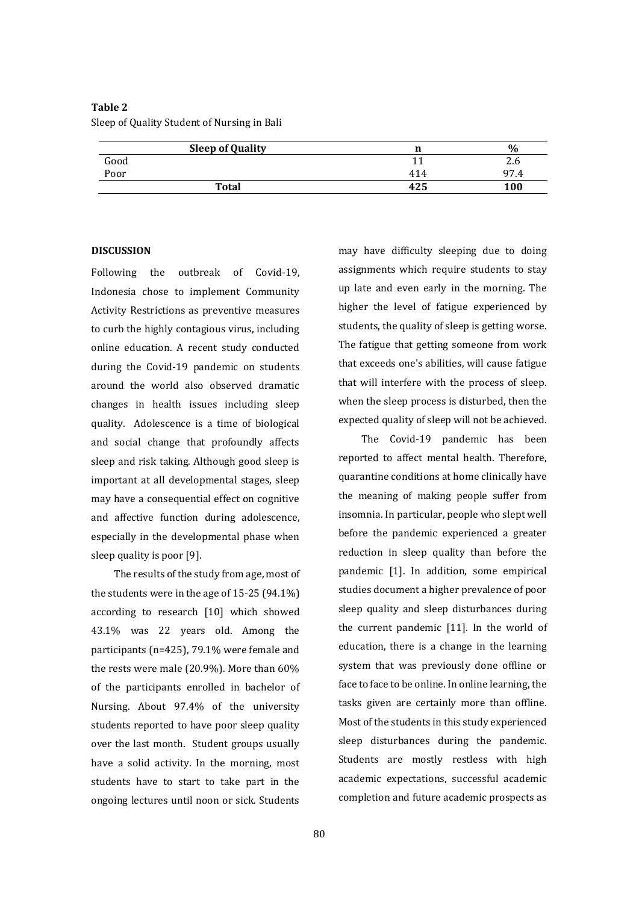### **Table 2** Sleep of Quality Student of Nursing in Bali

| <b>Sleep of Quality</b> |     | $\%$ |
|-------------------------|-----|------|
| Good                    |     | z.o  |
| Poor                    | 414 | 97   |
| <b>Total</b>            | 425 | 100  |

#### **DISCUSSION**

Following the outbreak of Covid-19, Indonesia chose to implement Community Activity Restrictions as preventive measures to curb the highly contagious virus, including online education. A recent study conducted during the Covid-19 pandemic on students around the world also observed dramatic changes in health issues including sleep quality. Adolescence is a time of biological and social change that profoundly affects sleep and risk taking. Although good sleep is important at all developmental stages, sleep may have a consequential effect on cognitive and affective function during adolescence, especially in the developmental phase when sleep quality is poor [9].

The results of the study from age, most of the students were in the age of 15-25 (94.1%) according to research [10] which showed 43.1% was 22 years old. Among the participants (n=425), 79.1% were female and the rests were male (20.9%). More than 60% of the participants enrolled in bachelor of Nursing. About 97.4% of the university students reported to have poor sleep quality over the last month. Student groups usually have a solid activity. In the morning, most students have to start to take part in the ongoing lectures until noon or sick. Students

may have difficulty sleeping due to doing assignments which require students to stay up late and even early in the morning. The higher the level of fatigue experienced by students, the quality of sleep is getting worse. The fatigue that getting someone from work that exceeds one's abilities, will cause fatigue that will interfere with the process of sleep. when the sleep process is disturbed, then the expected quality of sleep will not be achieved.

The Covid-19 pandemic has been reported to affect mental health. Therefore, quarantine conditions at home clinically have the meaning of making people suffer from insomnia. In particular, people who slept well before the pandemic experienced a greater reduction in sleep quality than before the pandemic [1]. In addition, some empirical studies document a higher prevalence of poor sleep quality and sleep disturbances during the current pandemic [11]. In the world of education, there is a change in the learning system that was previously done offline or face to face to be online. In online learning, the tasks given are certainly more than offline. Most of the students in this study experienced sleep disturbances during the pandemic. Students are mostly restless with high academic expectations, successful academic completion and future academic prospects as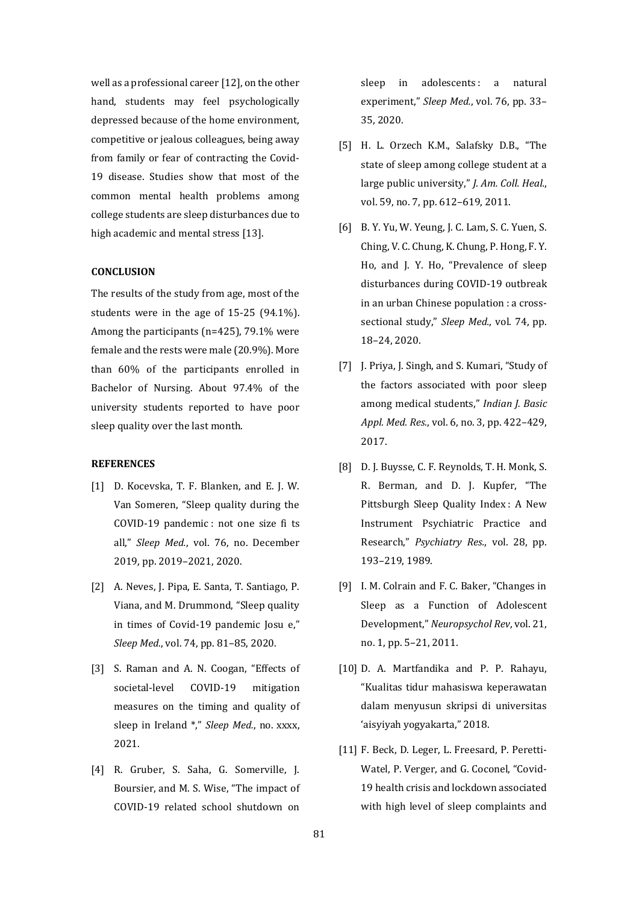well as a professional career [12], on the other hand, students may feel psychologically depressed because of the home environment, competitive or jealous colleagues, being away from family or fear of contracting the Covid-19 disease. Studies show that most of the common mental health problems among college students are sleep disturbances due to high academic and mental stress [13].

#### **CONCLUSION**

The results of the study from age, most of the students were in the age of 15-25 (94.1%). Among the participants (n=425), 79.1% were female and the rests were male (20.9%). More than 60% of the participants enrolled in Bachelor of Nursing. About 97.4% of the university students reported to have poor sleep quality over the last month.

#### **REFERENCES**

- [1] D. Kocevska, T. F. Blanken, and E. J. W. Van Someren, "Sleep quality during the COVID-19 pandemic : not one size fi ts all," *Sleep Med.*, vol. 76, no. December 2019, pp. 2019–2021, 2020.
- [2] A. Neves, J. Pipa, E. Santa, T. Santiago, P. Viana, and M. Drummond, "Sleep quality in times of Covid-19 pandemic Josu e," *Sleep Med.*, vol. 74, pp. 81–85, 2020.
- [3] S. Raman and A. N. Coogan, "Effects of societal-level COVID-19 mitigation measures on the timing and quality of sleep in Ireland \*," *Sleep Med.*, no. xxxx, 2021.
- [4] R. Gruber, S. Saha, G. Somerville, J. Boursier, and M. S. Wise, "The impact of COVID-19 related school shutdown on

sleep in adolescents : a natural experiment," *Sleep Med.*, vol. 76, pp. 33– 35, 2020.

- [5] H. L. Orzech K.M., Salafsky D.B., "The state of sleep among college student at a large public university," *J. Am. Coll. Heal.*, vol. 59, no. 7, pp. 612–619, 2011.
- [6] B. Y. Yu, W. Yeung, J. C. Lam, S. C. Yuen, S. Ching, V. C. Chung, K. Chung, P. Hong, F. Y. Ho, and J. Y. Ho, "Prevalence of sleep disturbances during COVID-19 outbreak in an urban Chinese population : a crosssectional study," *Sleep Med.*, vol. 74, pp. 18–24, 2020.
- [7] J. Priya, J. Singh, and S. Kumari, "Study of the factors associated with poor sleep among medical students," *Indian J. Basic Appl. Med. Res.*, vol. 6, no. 3, pp. 422–429, 2017.
- [8] D. J. Buysse, C. F. Reynolds, T. H. Monk, S. R. Berman, and D. J. Kupfer, "The Pittsburgh Sleep Quality Index : A New Instrument Psychiatric Practice and Research," *Psychiatry Res.*, vol. 28, pp. 193–219, 1989.
- [9] I. M. Colrain and F. C. Baker, "Changes in Sleep as a Function of Adolescent Development," *Neuropsychol Rev*, vol. 21, no. 1, pp. 5–21, 2011.
- [10] D. A. Martfandika and P. P. Rahayu, "Kualitas tidur mahasiswa keperawatan dalam menyusun skripsi di universitas 'aisyiyah yogyakarta," 2018.
- [11] F. Beck, D. Leger, L. Freesard, P. Peretti-Watel, P. Verger, and G. Coconel, "Covid-19 health crisis and lockdown associated with high level of sleep complaints and